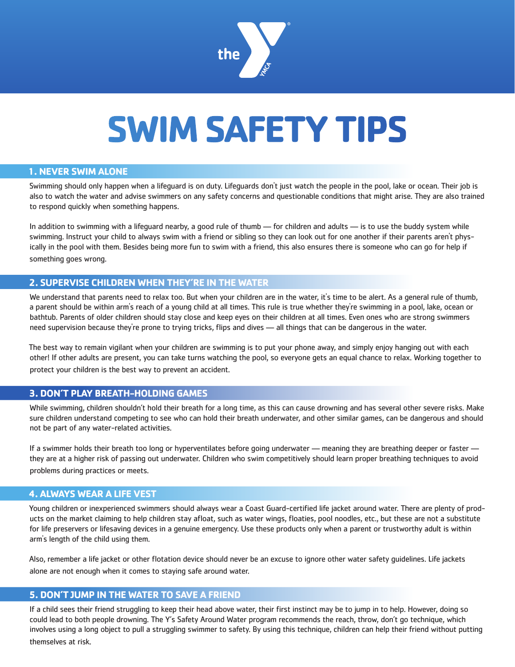

# **SWIM SAFETY TIPS**

### **1. NEVER SWIM ALONE**

Swimming should only happen when a lifeguard is on duty. Lifeguards don't just watch the people in the pool, lake or ocean. Their job is also to watch the water and advise swimmers on any safety concerns and questionable conditions that might arise. They are also trained to respond quickly when something happens.

In addition to swimming with a lifeguard nearby, a good rule of thumb — for children and adults — is to use the buddy system while swimming. Instruct your child to always swim with a friend or sibling so they can look out for one another if their parents aren't physically in the pool with them. Besides being more fun to swim with a friend, this also ensures there is someone who can go for help if something goes wrong.

### **2. SUPERVISE CHILDREN WHEN THEY'RE IN THE WATER**

We understand that parents need to relax too. But when your children are in the water, it's time to be alert. As a general rule of thumb, a parent should be within arm's reach of a young child at all times. This rule is true whether they're swimming in a pool, lake, ocean or bathtub. Parents of older children should stay close and keep eyes on their children at all times. Even ones who are strong swimmers need supervision because they're prone to trying tricks, flips and dives — all things that can be dangerous in the water.

The best way to remain vigilant when your children are swimming is to put your phone away, and simply enjoy hanging out with each other! If other adults are present, you can take turns watching the pool, so everyone gets an equal chance to relax. Working together to protect your children is the best way to prevent an accident.

## **3. DON'T PLAY BREATH-HOLDING GAMES**

While swimming, children shouldn't hold their breath for a long time, as this can cause drowning and has several other severe risks. Make sure children understand competing to see who can hold their breath underwater, and other similar games, can be dangerous and should not be part of any water-related activities.

If a swimmer holds their breath too long or hyperventilates before going underwater — meaning they are breathing deeper or faster they are at a higher risk of passing out underwater. Children who swim competitively should learn proper breathing techniques to avoid problems during practices or meets.

#### **4. ALWAYS WEAR A LIFE VEST**

Young children or inexperienced swimmers should always wear a Coast Guard-certified life jacket around water. There are plenty of products on the market claiming to help children stay afloat, such as water wings, floaties, pool noodles, etc., but these are not a substitute for life preservers or lifesaving devices in a genuine emergency. Use these products only when a parent or trustworthy adult is within arm's length of the child using them.

Also, remember a life jacket or other flotation device should never be an excuse to ignore other water safety guidelines. Life jackets alone are not enough when it comes to staying safe around water.

#### **5. DON'T JUMP IN THE WATER TO SAVE A FRIEND**

If a child sees their friend struggling to keep their head above water, their first instinct may be to jump in to help. However, doing so could lead to both people drowning. The Y's Safety Around Water program recommends the reach, throw, don't go technique, which involves using a long object to pull a struggling swimmer to safety. By using this technique, children can help their friend without putting themselves at risk.